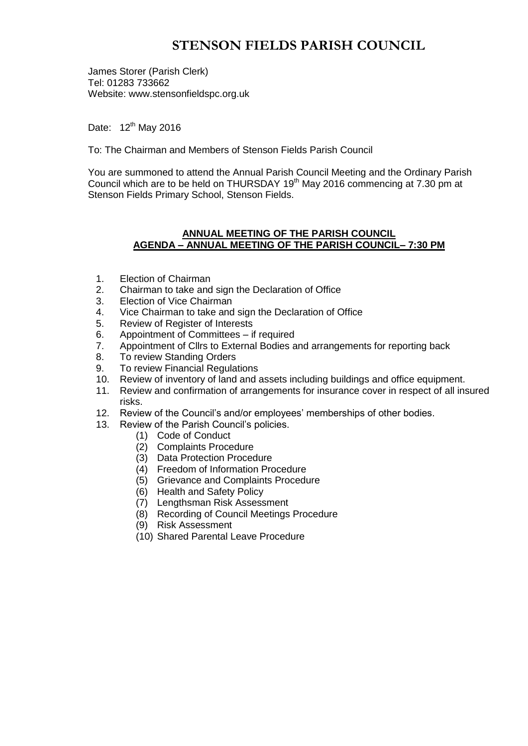# **STENSON FIELDS PARISH COUNCIL**

James Storer (Parish Clerk) Tel: 01283 733662 Website: www.stensonfieldspc.org.uk

Date: 12<sup>th</sup> May 2016

To: The Chairman and Members of Stenson Fields Parish Council

You are summoned to attend the Annual Parish Council Meeting and the Ordinary Parish Council which are to be held on THURSDAY 19<sup>th</sup> May 2016 commencing at 7.30 pm at Stenson Fields Primary School, Stenson Fields.

#### **ANNUAL MEETING OF THE PARISH COUNCIL AGENDA – ANNUAL MEETING OF THE PARISH COUNCIL– 7:30 PM**

- 1. Election of Chairman
- 2. Chairman to take and sign the Declaration of Office
- 3. Election of Vice Chairman
- 4. Vice Chairman to take and sign the Declaration of Office
- 5. Review of Register of Interests
- 6. Appointment of Committees if required
- 7. Appointment of Cllrs to External Bodies and arrangements for reporting back
- 8. To review Standing Orders
- 9. To review Financial Regulations
- 10. Review of inventory of land and assets including buildings and office equipment.
- 11. Review and confirmation of arrangements for insurance cover in respect of all insured risks.
- 12. Review of the Council's and/or employees' memberships of other bodies.
- 13. Review of the Parish Council's policies.
	- (1) Code of Conduct
	- (2) Complaints Procedure
	- (3) Data Protection Procedure
	- (4) Freedom of Information Procedure
	- (5) Grievance and Complaints Procedure
	- (6) Health and Safety Policy
	- (7) Lengthsman Risk Assessment
	- (8) Recording of Council Meetings Procedure
	- (9) Risk Assessment
	- (10) Shared Parental Leave Procedure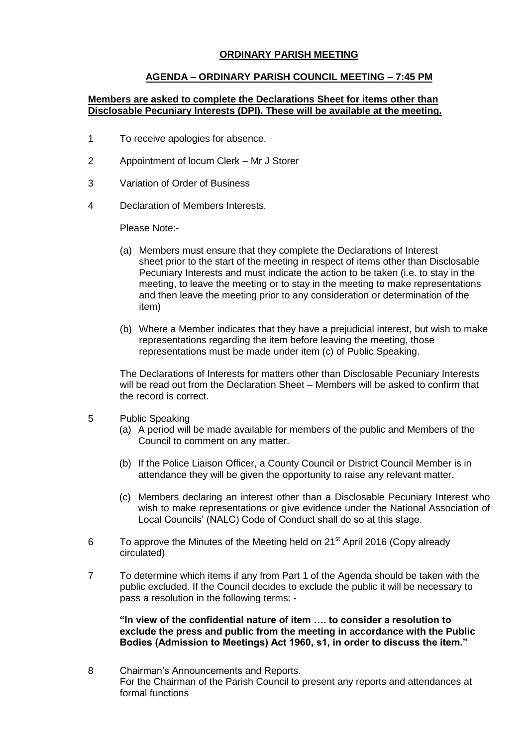## **ORDINARY PARISH MEETING**

### **AGENDA – ORDINARY PARISH COUNCIL MEETING – 7:45 PM**

#### **Members are asked to complete the Declarations Sheet for items other than Disclosable Pecuniary Interests (DPI). These will be available at the meeting.**

- 1 To receive apologies for absence.
- 2 Appointment of locum Clerk Mr J Storer
- 3 Variation of Order of Business
- 4 Declaration of Members Interests.

Please Note:-

- (a) Members must ensure that they complete the Declarations of Interest sheet prior to the start of the meeting in respect of items other than Disclosable Pecuniary Interests and must indicate the action to be taken (i.e. to stay in the meeting, to leave the meeting or to stay in the meeting to make representations and then leave the meeting prior to any consideration or determination of the item)
- (b) Where a Member indicates that they have a prejudicial interest, but wish to make representations regarding the item before leaving the meeting, those representations must be made under item (c) of Public Speaking.

The Declarations of Interests for matters other than Disclosable Pecuniary Interests will be read out from the Declaration Sheet – Members will be asked to confirm that the record is correct.

- 5 Public Speaking
	- (a) A period will be made available for members of the public and Members of the Council to comment on any matter.
	- (b) If the Police Liaison Officer, a County Council or District Council Member is in attendance they will be given the opportunity to raise any relevant matter.
	- (c) Members declaring an interest other than a Disclosable Pecuniary Interest who wish to make representations or give evidence under the National Association of Local Councils' (NALC) Code of Conduct shall do so at this stage.
- 6 To approve the Minutes of the Meeting held on  $21<sup>st</sup>$  April 2016 (Copy already circulated)
- 7 To determine which items if any from Part 1 of the Agenda should be taken with the public excluded. If the Council decides to exclude the public it will be necessary to pass a resolution in the following terms: -

**"In view of the confidential nature of item …. to consider a resolution to exclude the press and public from the meeting in accordance with the Public Bodies (Admission to Meetings) Act 1960, s1, in order to discuss the item."** 

8 Chairman's Announcements and Reports. For the Chairman of the Parish Council to present any reports and attendances at formal functions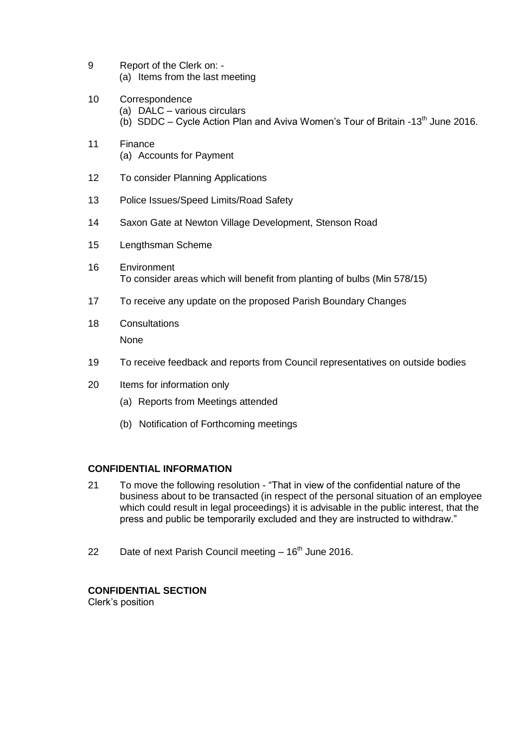- 9 Report of the Clerk on: (a) Items from the last meeting
- 10 Correspondence (a) DALC – various circulars (b) SDDC – Cycle Action Plan and Aviva Women's Tour of Britain -13<sup>th</sup> June 2016.
- 11 Finance (a) Accounts for Payment
- 12 To consider Planning Applications
- 13 Police Issues/Speed Limits/Road Safety
- 14 Saxon Gate at Newton Village Development, Stenson Road
- 15 Lengthsman Scheme
- 16 Environment To consider areas which will benefit from planting of bulbs (Min 578/15)
- 17 To receive any update on the proposed Parish Boundary Changes
- 18 Consultations None
- 19 To receive feedback and reports from Council representatives on outside bodies
- 20 Items for information only
	- (a) Reports from Meetings attended
	- (b) Notification of Forthcoming meetings

## **CONFIDENTIAL INFORMATION**

- 21 To move the following resolution "That in view of the confidential nature of the business about to be transacted (in respect of the personal situation of an employee which could result in legal proceedings) it is advisable in the public interest, that the press and public be temporarily excluded and they are instructed to withdraw."
- 22 Date of next Parish Council meeting  $-16<sup>th</sup>$  June 2016.

## **CONFIDENTIAL SECTION**

Clerk's position